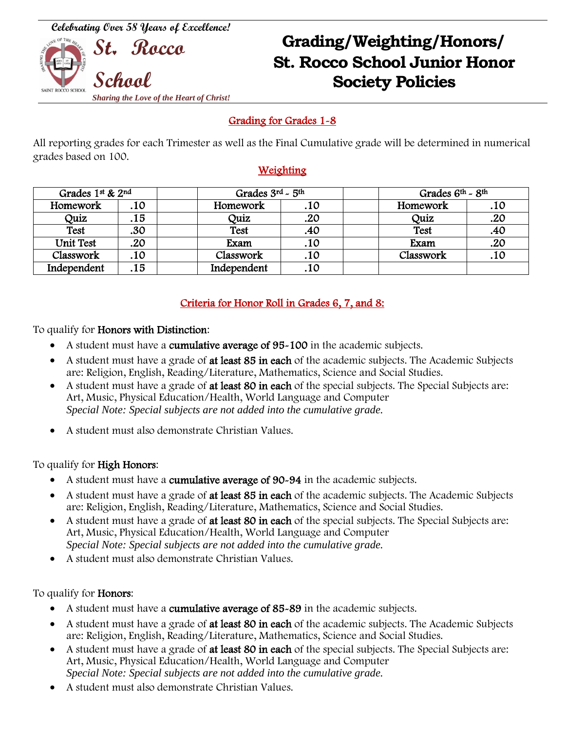**Celebrating Over 58 Years of Excellence!**



# **Grading/Weighting/Honors/ St Rocco St. Rocco School Junior Honor School Society Policies**

## Grading for Grades 1-8

All reporting grades for each Trimester as well as the Final Cumulative grade will be determined in numerical grades based on 100.

### Weighting

| Grades 1st & 2nd |     | Grades 3rd - 5th |     | Grades $6th$ ~ $8th$ |     |
|------------------|-----|------------------|-----|----------------------|-----|
| Homework         | .10 | Homework         | .10 | Homework             | .10 |
| Quiz             | .15 | Quiz             | .20 | Quiz                 | .20 |
| <b>Test</b>      | .30 | <b>Test</b>      | .40 | <b>Test</b>          | .40 |
| <b>Unit Test</b> | 20  | Exam             | .10 | Exam                 | .20 |
| Classwork        | 10  | Classwork        | .10 | Classwork            | .10 |
| Independent      | 15  | Independent      | .10 |                      |     |

## Criteria for Honor Roll in Grades 6, 7, and 8:

To qualify for Honors with Distinction:

- A student must have a cumulative average of 95-100 in the academic subjects.
- A student must have a grade of at least 85 in each of the academic subjects. The Academic Subjects are: Religion, English, Reading/Literature, Mathematics, Science and Social Studies.
- A student must have a grade of at least 80 in each of the special subjects. The Special Subjects are: Art, Music, Physical Education/Health, World Language and Computer *Special Note: Special subjects are not added into the cumulative grade.*
- A student must also demonstrate Christian Values.

#### To qualify for High Honors:

- A student must have a cumulative average of 90-94 in the academic subjects.
- A student must have a grade of at least 85 in each of the academic subjects. The Academic Subjects are: Religion, English, Reading/Literature, Mathematics, Science and Social Studies.
- A student must have a grade of at least 80 in each of the special subjects. The Special Subjects are: Art, Music, Physical Education/Health, World Language and Computer *Special Note: Special subjects are not added into the cumulative grade.*
- A student must also demonstrate Christian Values.

#### To qualify for Honors:

- A student must have a cumulative average of 85-89 in the academic subjects.
- A student must have a grade of at least 80 in each of the academic subjects. The Academic Subjects are: Religion, English, Reading/Literature, Mathematics, Science and Social Studies.
- A student must have a grade of at least 80 in each of the special subjects. The Special Subjects are: Art, Music, Physical Education/Health, World Language and Computer *Special Note: Special subjects are not added into the cumulative grade.*
- A student must also demonstrate Christian Values.